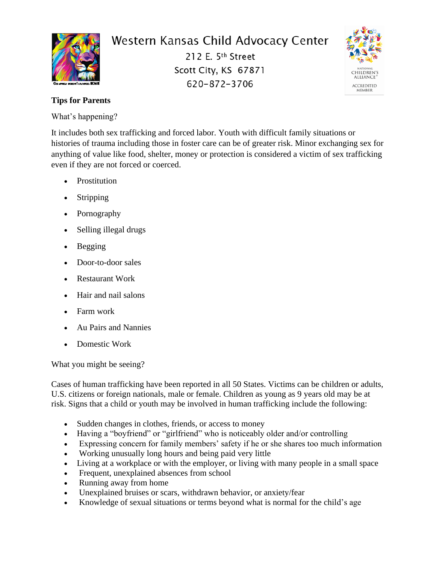

## Western Kansas Child Advocacy Center

212 E. 5th Street Scott City, KS 67871 620-872-3706



## **Tips for Parents**

What's happening?

It includes both sex trafficking and forced labor. Youth with difficult family situations or histories of trauma including those in foster care can be of greater risk. Minor exchanging sex for anything of value like food, shelter, money or protection is considered a victim of sex trafficking even if they are not forced or coerced.

- Prostitution
- **Stripping**
- Pornography
- Selling illegal drugs
- Begging
- Door-to-door sales
- Restaurant Work
- Hair and nail salons
- Farm work
- Au Pairs and Nannies
- Domestic Work

What you might be seeing?

Cases of human trafficking have been reported in all 50 States. Victims can be children or adults, U.S. citizens or foreign nationals, male or female. Children as young as 9 years old may be at risk. Signs that a child or youth may be involved in human trafficking include the following:

- Sudden changes in clothes, friends, or access to money
- Having a "boyfriend" or "girlfriend" who is noticeably older and/or controlling
- Expressing concern for family members' safety if he or she shares too much information
- Working unusually long hours and being paid very little
- Living at a workplace or with the employer, or living with many people in a small space
- Frequent, unexplained absences from school
- Running away from home
- Unexplained bruises or scars, withdrawn behavior, or anxiety/fear
- Knowledge of sexual situations or terms beyond what is normal for the child's age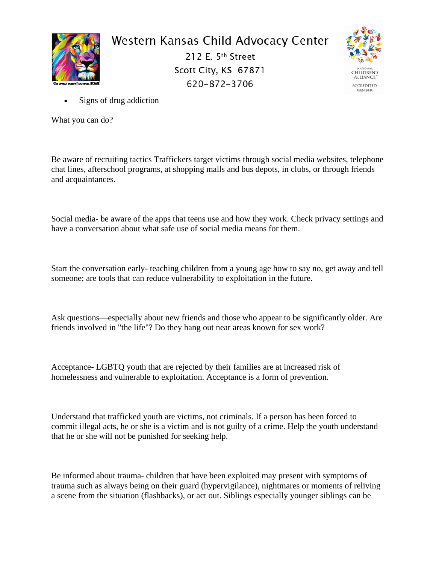

## Western Kansas Child Advocacy Center

212 E. 5th Street Scott City, KS 67871 620-872-3706



Signs of drug addiction

What you can do?

Be aware of recruiting tactics Traffickers target victims through social media websites, telephone chat lines, afterschool programs, at shopping malls and bus depots, in clubs, or through friends and acquaintances.

Social media- be aware of the apps that teens use and how they work. Check privacy settings and have a conversation about what safe use of social media means for them.

Start the conversation early- teaching children from a young age how to say no, get away and tell someone; are tools that can reduce vulnerability to exploitation in the future.

Ask questions—especially about new friends and those who appear to be significantly older. Are friends involved in "the life"? Do they hang out near areas known for sex work?

Acceptance- LGBTQ youth that are rejected by their families are at increased risk of homelessness and vulnerable to exploitation. Acceptance is a form of prevention.

Understand that trafficked youth are victims, not criminals. If a person has been forced to commit illegal acts, he or she is a victim and is not guilty of a crime. Help the youth understand that he or she will not be punished for seeking help.

Be informed about trauma- children that have been exploited may present with symptoms of trauma such as always being on their guard (hypervigilance), nightmares or moments of reliving a scene from the situation (flashbacks), or act out. Siblings especially younger siblings can be